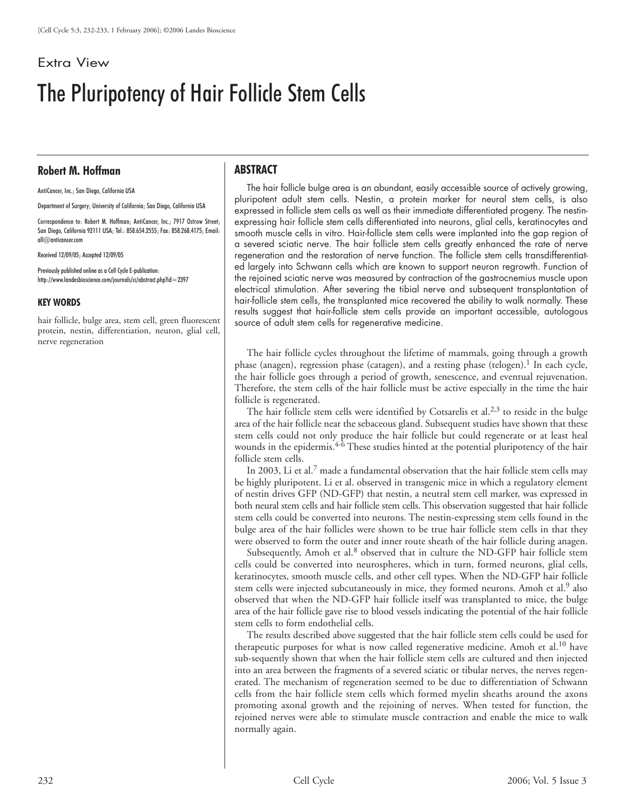## Extra View

# The Pluripotency of Hair Follicle Stem Cells

### **Robert M. Hoffman**

AntiCancer, Inc.; San Diego, California USA

Department of Surgery; University of California; San Diego, California USA

Correspondence to: Robert M. Hoffman; AntiCancer, Inc.; 7917 Ostrow Street; San Diego, California 92111 USA; Tel.: 858.654.2555; Fax: 858.268.4175; Email: all@anticancer.com

Received 12/09/05; Accepted 12/09/05

Previously published online as a Cell Cycle E-publication: http://www.landesbioscience.com/journals/cc/abstract.php?id=2397

#### **KEY WORDS**

hair follicle, bulge area, stem cell, green fluorescent protein, nestin, differentiation, neuron, glial cell, nerve regeneration

#### **ABSTRACT**

The hair follicle bulge area is an abundant, easily accessible source of actively growing, pluripotent adult stem cells. Nestin, a protein marker for neural stem cells, is also expressed in follicle stem cells as well as their immediate differentiated progeny. The nestinexpressing hair follicle stem cells differentiated into neurons, glial cells, keratinocytes and smooth muscle cells in vitro. Hair-follicle stem cells were implanted into the gap region of a severed sciatic nerve. The hair follicle stem cells greatly enhanced the rate of nerve regeneration and the restoration of nerve function. The follicle stem cells transdifferentiated largely into Schwann cells which are known to support neuron regrowth. Function of the rejoined sciatic nerve was measured by contraction of the gastrocnemius muscle upon electrical stimulation. After severing the tibial nerve and subsequent transplantation of hair-follicle stem cells, the transplanted mice recovered the ability to walk normally. These results suggest that hair-follicle stem cells provide an important accessible, autologous source of adult stem cells for regenerative medicine.

The hair follicle cycles throughout the lifetime of mammals, going through a growth phase (anagen), regression phase (catagen), and a resting phase (telogen).<sup>1</sup> In each cycle, the hair follicle goes through a period of growth, senescence, and eventual rejuvenation. Therefore, the stem cells of the hair follicle must be active especially in the time the hair follicle is regenerated.

The hair follicle stem cells were identified by Cotsarelis et al.<sup>2,3</sup> to reside in the bulge area of the hair follicle near the sebaceous gland. Subsequent studies have shown that these stem cells could not only produce the hair follicle but could regenerate or at least heal wounds in the epidermis. $4-6$  These studies hinted at the potential pluripotency of the hair follicle stem cells.

In 2003, Li et al.<sup>7</sup> made a fundamental observation that the hair follicle stem cells may be highly pluripotent. Li et al. observed in transgenic mice in which a regulatory element of nestin drives GFP (ND-GFP) that nestin, a neutral stem cell marker, was expressed in both neural stem cells and hair follicle stem cells. This observation suggested that hair follicle stem cells could be converted into neurons. The nestin-expressing stem cells found in the bulge area of the hair follicles were shown to be true hair follicle stem cells in that they were observed to form the outer and inner route sheath of the hair follicle during anagen.

Subsequently, Amoh et al.<sup>8</sup> observed that in culture the ND-GFP hair follicle stem cells could be converted into neurospheres, which in turn, formed neurons, glial cells, keratinocytes, smooth muscle cells, and other cell types. When the ND-GFP hair follicle stem cells were injected subcutaneously in mice, they formed neurons. Amoh et al.<sup>9</sup> also observed that when the ND-GFP hair follicle itself was transplanted to mice, the bulge area of the hair follicle gave rise to blood vessels indicating the potential of the hair follicle stem cells to form endothelial cells.

The results described above suggested that the hair follicle stem cells could be used for therapeutic purposes for what is now called regenerative medicine. Amoh et al.<sup>10</sup> have sub-sequently shown that when the hair follicle stem cells are cultured and then injected into an area between the fragments of a severed sciatic or tibular nerves, the nerves regenerated. The mechanism of regeneration seemed to be due to differentiation of Schwann cells from the hair follicle stem cells which formed myelin sheaths around the axons promoting axonal growth and the rejoining of nerves. When tested for function, the rejoined nerves were able to stimulate muscle contraction and enable the mice to walk normally again.